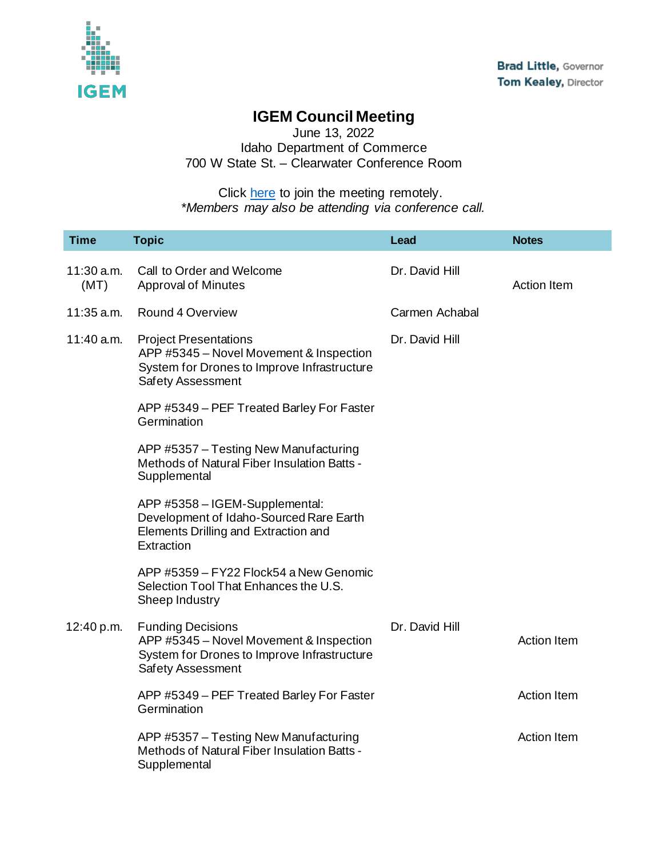

## **IGEM Council Meeting**

June 13, 2022 Idaho Department of Commerce 700 W State St. – Clearwater Conference Room

Click <u>here</u> to join the meeting remotely. *\*Members may also be attending via conference call.*

| <b>Time</b>          | <b>Topic</b>                                                                                                                                | <b>Lead</b>    | <b>Notes</b>       |
|----------------------|---------------------------------------------------------------------------------------------------------------------------------------------|----------------|--------------------|
| $11:30$ a.m.<br>(MT) | Call to Order and Welcome<br><b>Approval of Minutes</b>                                                                                     | Dr. David Hill | <b>Action Item</b> |
| $11:35$ a.m.         | <b>Round 4 Overview</b>                                                                                                                     | Carmen Achabal |                    |
| 11:40 a.m.           | <b>Project Presentations</b><br>APP #5345 - Novel Movement & Inspection<br>System for Drones to Improve Infrastructure<br>Safety Assessment | Dr. David Hill |                    |
|                      | APP #5349 - PEF Treated Barley For Faster<br>Germination                                                                                    |                |                    |
|                      | APP #5357 - Testing New Manufacturing<br>Methods of Natural Fiber Insulation Batts -<br>Supplemental                                        |                |                    |
|                      | APP #5358 - IGEM-Supplemental:<br>Development of Idaho-Sourced Rare Earth<br>Elements Drilling and Extraction and<br>Extraction             |                |                    |
|                      | APP #5359 - FY22 Flock54 a New Genomic<br>Selection Tool That Enhances the U.S.<br>Sheep Industry                                           |                |                    |
| 12:40 p.m.           | <b>Funding Decisions</b><br>APP #5345 - Novel Movement & Inspection<br>System for Drones to Improve Infrastructure<br>Safety Assessment     | Dr. David Hill | <b>Action Item</b> |
|                      | APP #5349 - PEF Treated Barley For Faster<br>Germination                                                                                    |                | <b>Action Item</b> |
|                      | APP #5357 - Testing New Manufacturing<br>Methods of Natural Fiber Insulation Batts -<br>Supplemental                                        |                | <b>Action Item</b> |